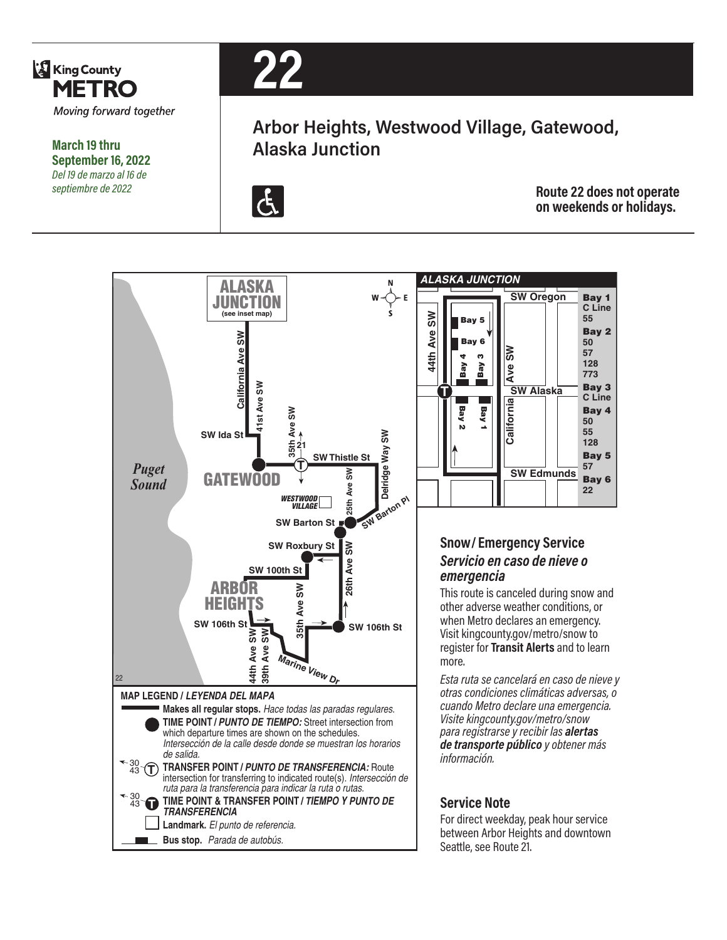

**March 19 thru September 16, 2022** *Del 19 de marzo al 16 de septiembre de 2022*



## **Arbor Heights, Westwood Village, Gatewood, Alaska Junction**



**Route 22 does not operate on weekends or holidays.**